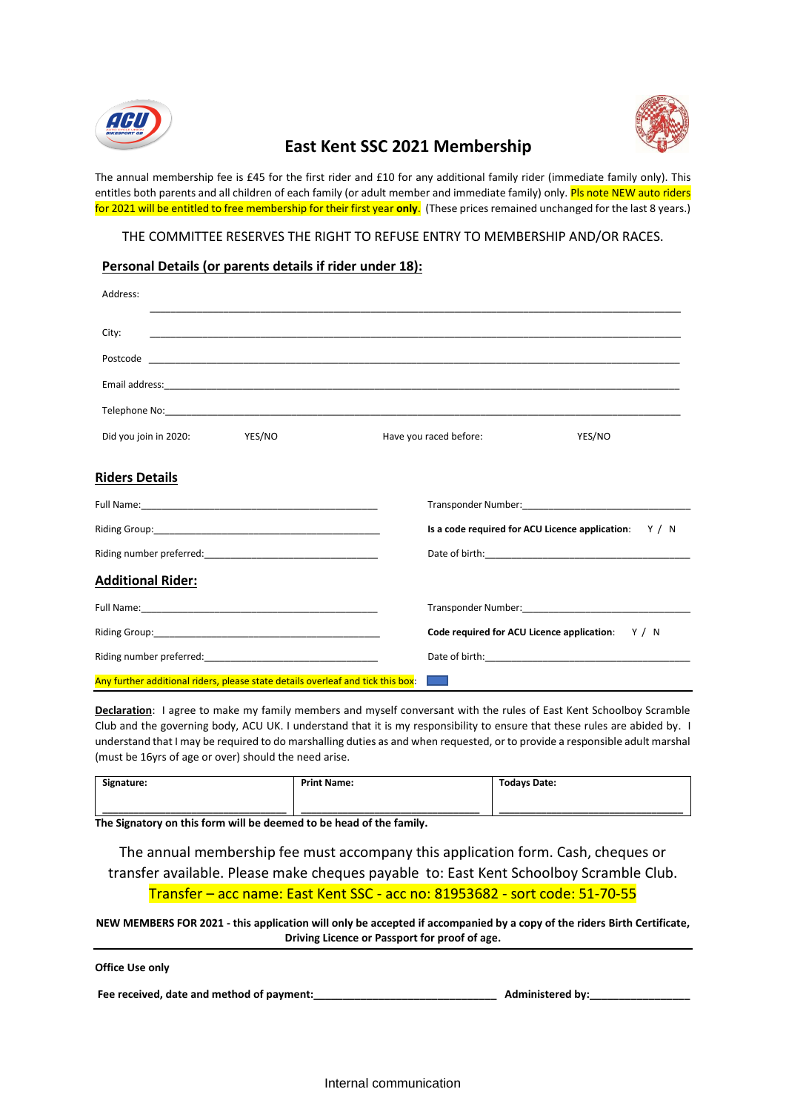



## **East Kent SSC 2021 Membership**

The annual membership fee is £45 for the first rider and £10 for any additional family rider (immediate family only). This entitles both parents and all children of each family (or adult member and immediate family) only. Pls note NEW auto riders for 2021 will be entitled to free membership for their first year **only**. (These prices remained unchanged for the last 8 years.)

THE COMMITTEE RESERVES THE RIGHT TO REFUSE ENTRY TO MEMBERSHIP AND/OR RACES.

## **Personal Details (or parents details if rider under 18):**

| Address:                                                                        |                                                                                                                                                                                                                                |
|---------------------------------------------------------------------------------|--------------------------------------------------------------------------------------------------------------------------------------------------------------------------------------------------------------------------------|
| City:                                                                           |                                                                                                                                                                                                                                |
|                                                                                 |                                                                                                                                                                                                                                |
|                                                                                 |                                                                                                                                                                                                                                |
|                                                                                 |                                                                                                                                                                                                                                |
| YES/NO<br>Did you join in 2020:                                                 | YES/NO<br>Have you raced before:                                                                                                                                                                                               |
| <u>Riders Details</u>                                                           |                                                                                                                                                                                                                                |
|                                                                                 | Transponder Number: National Contract of Contract Contract of Contract Contract Contract Contract Contract Contract Contract Contract Contract Contract Contract Contract Contract Contract Contract Contract Contract Contrac |
|                                                                                 | Is a code required for ACU Licence application: Y / N                                                                                                                                                                          |
|                                                                                 |                                                                                                                                                                                                                                |
| <b>Additional Rider:</b>                                                        |                                                                                                                                                                                                                                |
|                                                                                 |                                                                                                                                                                                                                                |
|                                                                                 | Code required for ACU Licence application:<br>Y/N                                                                                                                                                                              |
|                                                                                 | Date of birth: National Contract of the Contract of the Contract of the Contract of the Contract of the Contract of the Contract of the Contract of the Contract of the Contract of the Contract of the Contract of the Contra |
| Any further additional riders, please state details overleaf and tick this box: | <b>Contract</b>                                                                                                                                                                                                                |

**Declaration**: I agree to make my family members and myself conversant with the rules of East Kent Schoolboy Scramble Club and the governing body, ACU UK. I understand that it is my responsibility to ensure that these rules are abided by. I understand that I may be required to do marshalling duties as and when requested, or to provide a responsible adult marshal (must be 16yrs of age or over) should the need arise.

| Signature: | <b>Print Name:</b> | <b>Todays Date:</b> |
|------------|--------------------|---------------------|
|            |                    |                     |
|            |                    |                     |
|            |                    |                     |

**The Signatory on this form will be deemed to be head of the family.** 

The annual membership fee must accompany this application form. Cash, cheques or transfer available. Please make cheques payable to: East Kent Schoolboy Scramble Club. Transfer – acc name: East Kent SSC - acc no: 81953682 - sort code: 51-70-55

**NEW MEMBERS FOR 2021 - this application will only be accepted if accompanied by a copy of the riders Birth Certificate, Driving Licence or Passport for proof of age.**

| Office Use only |  |  |
|-----------------|--|--|
|-----------------|--|--|

Fee received, date and method of payment: **which is a set of a set of payment** and the set of payment: